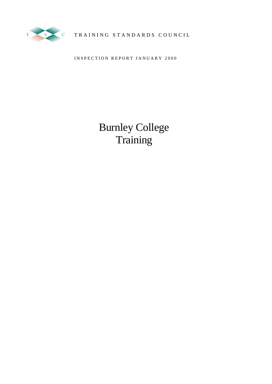

TRAINING STANDARDS COUNCIL

INSPECTION REPORT JANUARY 2000

Burnley College **Training**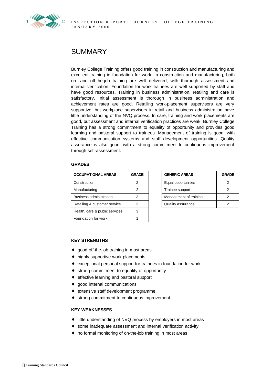

# **SUMMARY**

Burnley College Training offers good training in construction and manufacturing and excellent training in foundation for work. In construction and manufacturing, both on- and off-the-job training are well delivered, with thorough assessment and internal verification. Foundation for work trainees are well supported by staff and have good resources. Training in business administration, retailing and care is satisfactory. Initial assessment is thorough in business administration and achievement rates are good. Retailing work-placement supervisors are very supportive, but workplace supervisors in retail and business administration have little understanding of the NVQ process. In care, training and work placements are good, but assessment and internal verification practices are weak. Burnley College Training has a strong commitment to equality of opportunity and provides good learning and pastoral support to trainees. Management of training is good, with effective communication systems and staff development opportunities. Quality assurance is also good, with a strong commitment to continuous improvement through self-assessment.

### **GRADES**

| <b>OCCUPATIONAL AREAS</b>      | <b>GRADE</b> | <b>GENERIC AREAS</b>   | <b>GRADE</b> |
|--------------------------------|--------------|------------------------|--------------|
| Construction                   | 2            | Equal opportunities    |              |
| Manufacturing                  | 2            | Trainee support        |              |
| Business administration        | 3            | Management of training |              |
| Retailing & customer service   | 3            | Quality assurance      |              |
| Health, care & public services | 3            |                        |              |
| Foundation for work            |              |                        |              |

| <b>GENERIC AREAS</b>   | <b>GRADE</b> |  |  |
|------------------------|--------------|--|--|
| Equal opportunities    |              |  |  |
| Trainee support        |              |  |  |
| Management of training |              |  |  |
| Quality assurance      |              |  |  |

### **KEY STRENGTHS**

- ♦ good off-the-job training in most areas
- ♦ highly supportive work placements
- ♦ exceptional personal support for trainees in foundation for work
- ♦ strong commitment to equality of opportunity
- ♦ effective learning and pastoral support
- ♦ good internal communications
- ♦ extensive staff development programme
- ♦ strong commitment to continuous improvement

### **KEY WEAKNESSES**

- ♦ little understanding of NVQ process by employers in most areas
- ♦ some inadequate assessment and internal verification activity
- ♦ no formal monitoring of on-the-job training in most areas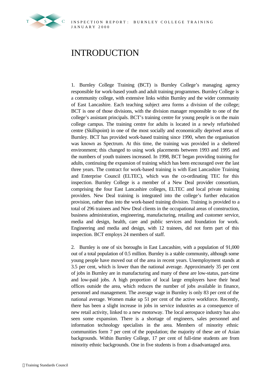

# INTRODUCTION

1. Burnley College Training (BCT) is Burnley College's managing agency responsible for work-based youth and adult training programmes. Burnley College is a community college, with extensive links within Burnley and the wider community of East Lancashire. Each teaching subject area forms a division of the college; BCT is one of those divisions, with the division manager responsible to one of the college's assistant principals. BCT's training centre for young people is on the main college campus. The training centre for adults is located in a newly refurbished centre (Skillspoint) in one of the most socially and economically deprived areas of Burnley. BCT has provided work-based training since 1990, when the organisation was known as Spectrum. At this time, the training was provided in a sheltered environment; this changed to using work placements between 1993 and 1995 and the numbers of youth trainees increased. In 1998, BCT began providing training for adults, continuing the expansion of training which has been encouraged over the last three years. The contract for work-based training is with East Lancashire Training and Enterprise Council (ELTEC), which was the co-ordinating TEC for this inspection. Burnley College is a member of a New Deal provider consortium, comprising the four East Lancashire colleges, ELTEC and local private training providers. New Deal training is integrated into the college's further education provision, rather than into the work-based training division. Training is provided to a total of 296 trainees and New Deal clients in the occupational areas of construction, business administration, engineering, manufacturing, retailing and customer service, media and design, health, care and public services and foundation for work. Engineering and media and design, with 12 trainees, did not form part of this inspection. BCT employs 24 members of staff.

2. Burnley is one of six boroughs in East Lancashire, with a population of 91,000 out of a total population of 0.5 million. Burnley is a stable community, although some young people have moved out of the area in recent years. Unemployment stands at 3.5 per cent, which is lower than the national average. Approximately 35 per cent of jobs in Burnley are in manufacturing and many of these are low-status, part-time and low-paid jobs. A high proportion of local large employers have their head offices outside the area, which reduces the number of jobs available in finance, personnel and management. The average wage in Burnley is only 83 per cent of the national average. Women make up 51 per cent of the active workforce. Recently, there has been a slight increase in jobs in service industries as a consequence of new retail activity, linked to a new motorway. The local aerospace industry has also seen some expansion. There is a shortage of engineers, sales personnel and information technology specialists in the area. Members of minority ethnic communities form 7 per cent of the population; the majority of these are of Asian backgrounds. Within Burnley College, 17 per cent of full-time students are from minority ethnic backgrounds. One in five students is from a disadvantaged area.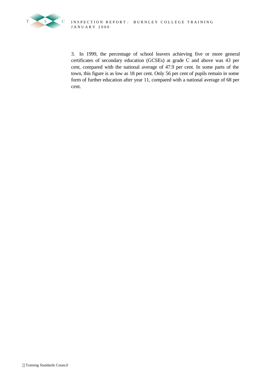

3. In 1999, the percentage of school leavers achieving five or more general certificates of secondary education (GCSEs) at grade C and above was 43 per cent, compared with the national average of 47.9 per cent. In some parts of the town, this figure is as low as 18 per cent. Only 56 per cent of pupils remain in some form of further education after year 11, compared with a national average of 68 per cent.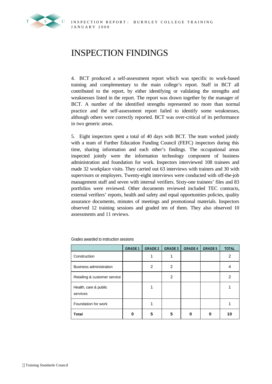

# INSPECTION FINDINGS

4. BCT produced a self-assessment report which was specific to work-based training and complementary to the main college's report. Staff in BCT all contributed to the report, by either identifying or validating the strengths and weaknesses listed in the report. The report was drawn together by the manager of BCT. A number of the identified strengths represented no more than normal practice and the self-assessment report failed to identify some weaknesses, although others were correctly reported. BCT was over-critical of its performance in two generic areas.

5. Eight inspectors spent a total of 40 days with BCT. The team worked jointly with a team of Further Education Funding Council (FEFC) inspectors during this time, sharing information and each other's findings. The occupational areas inspected jointly were the information technology component of business administration and foundation for work. Inspectors interviewed 108 trainees and made 32 workplace visits. They carried out 63 interviews with trainers and 30 with supervisors or employers. Twenty-eight interviews were conducted with off-the-job management staff and seven with internal verifiers. Sixty-one trainees' files and 83 portfolios were reviewed. Other documents reviewed included TEC contracts, external verifiers' reports, health and safety and equal opportunities policies, quality assurance documents, minutes of meetings and promotional materials. Inspectors observed 12 training sessions and graded ten of them. They also observed 10 assessments and 11 reviews.

|                                   | <b>GRADE 1</b> | <b>GRADE 2</b> | <b>GRADE 3</b> | <b>GRADE 4</b> | <b>GRADE 5</b> | <b>TOTAL</b> |
|-----------------------------------|----------------|----------------|----------------|----------------|----------------|--------------|
| Construction                      |                |                |                |                |                | 2            |
| Business administration           |                | $\overline{2}$ | 2              |                |                | 4            |
| Retailing & customer service      |                |                | 2              |                |                | 2            |
| Health, care & public<br>services |                |                |                |                |                |              |
| Foundation for work               |                |                |                |                |                |              |
| <b>Total</b>                      |                | 5              | 5              |                |                | 10           |

Grades awarded to instruction sessions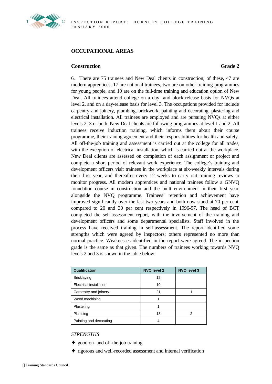

# **OCCUPATIONAL AREAS**

# **Construction Grade 2**

6. There are 75 trainees and New Deal clients in construction; of these, 47 are modern apprentices, 17 are national trainees, two are on other training programmes for young people, and 10 are on the full-time training and education option of New Deal. All trainees attend college on a day- and block-release basis for NVQs at level 2, and on a day-release basis for level 3. The occupations provided for include carpentry and joinery, plumbing, brickwork, painting and decorating, plastering and electrical installation. All trainees are employed and are pursuing NVQs at either levels 2, 3 or both. New Deal clients are following programmes at level 1 and 2. All trainees receive induction training, which informs them about their course programme, their training agreement and their responsibilities for health and safety. All off-the-job training and assessment is carried out at the college for all trades, with the exception of electrical installation, which is carried out at the workplace. New Deal clients are assessed on completion of each assignment or project and complete a short period of relevant work experience. The college's training and development officers visit trainees in the workplace at six-weekly intervals during their first year, and thereafter every 12 weeks to carry out training reviews to monitor progress. All modern apprentices and national trainees follow a GNVQ foundation course in construction and the built environment in their first year, alongside the NVQ programme. Trainees' retention and achievement have improved significantly over the last two years and both now stand at 70 per cent, compared to 20 and 30 per cent respectively in 1996-97. The head of BCT completed the self-assessment report, with the involvement of the training and development officers and some departmental specialists. Staff involved in the process have received training in self-assessment. The report identified some strengths which were agreed by inspectors; others represented no more than normal practice. Weaknesses identified in the report were agreed. The inspection grade is the same as that given. The numbers of trainees working towards NVQ levels 2 and 3 is shown in the table below.

| <b>Qualification</b>    | <b>NVQ level 2</b> | <b>NVQ level 3</b> |
|-------------------------|--------------------|--------------------|
| <b>Bricklaying</b>      | 12                 |                    |
| Electrical installation | 10                 |                    |
| Carpentry and joinery   | 21                 |                    |
| Wood machining          |                    |                    |
| Plastering              |                    |                    |
| Plumbing                | 13                 |                    |
| Painting and decorating |                    |                    |

# *STRENGTHS*

- ♦ good on- and off-the-job training
- ♦ rigorous and well-recorded assessment and internal verification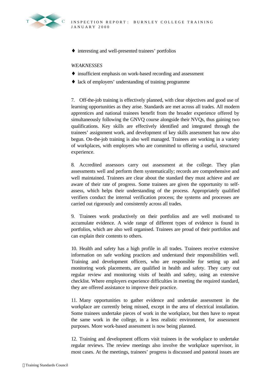♦ interesting and well-presented trainees' portfolios

### *WEAKNESSES*

- ♦ insufficient emphasis on work-based recording and assessment
- ♦ lack of employers' understanding of training programme

7. Off-the-job training is effectively planned, with clear objectives and good use of learning opportunities as they arise. Standards are met across all trades. All modern apprentices and national trainees benefit from the broader experience offered by simultaneously following the GNVQ course alongside their NVQs, thus gaining two qualifications. Key skills are effectively identified and integrated through the trainees' assignment work, and development of key skills assessment has now also begun. On-the-job training is also well managed. Trainees are working in a variety of workplaces, with employers who are committed to offering a useful, structured experience.

8. Accredited assessors carry out assessment at the college. They plan assessments well and perform them systematically; records are comprehensive and well maintained. Trainees are clear about the standard they must achieve and are aware of their rate of progress. Some trainees are given the opportunity to selfassess, which helps their understanding of the process. Appropriately qualified verifiers conduct the internal verification process; the systems and processes are carried out rigorously and consistently across all trades.

9. Trainees work productively on their portfolios and are well motivated to accumulate evidence. A wide range of different types of evidence is found in portfolios, which are also well organised. Trainees are proud of their portfolios and can explain their contents to others.

10. Health and safety has a high profile in all trades. Trainees receive extensive information on safe working practices and understand their responsibilities well. Training and development officers, who are responsible for setting up and monitoring work placements, are qualified in health and safety. They carry out regular review and monitoring visits of health and safety, using an extensive checklist. Where employers experience difficulties in meeting the required standard, they are offered assistance to improve their practice.

11. Many opportunities to gather evidence and undertake assessment in the workplace are currently being missed, except in the area of electrical installation. Some trainees undertake pieces of work in the workplace, but then have to repeat the same work in the college, in a less realistic environment, for assessment purposes. More work-based assessment is now being planned.

12. Training and development officers visit trainees in the workplace to undertake regular reviews. The review meetings also involve the workplace supervisor, in most cases. At the meetings, trainees' progress is discussed and pastoral issues are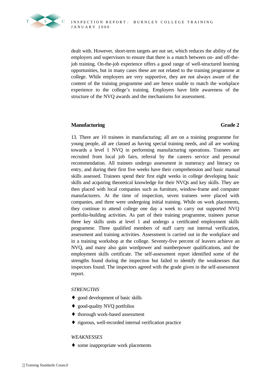

dealt with. However, short-term targets are not set, which reduces the ability of the employers and supervisors to ensure that there is a match between on- and off-thejob training. On-the-job experience offers a good range of well-structured learning opportunities, but in many cases these are not related to the training programme at college. While employers are very supportive, they are not always aware of the content of the training programme and are hence unable to match the workplace experience to the college's training. Employers have little awareness of the structure of the NVQ awards and the mechanisms for assessment.

# **Manufacturing Grade 2**

13. There are 10 trainees in manufacturing; all are on a training programme for young people, all are classed as having special training needs, and all are working towards a level 1 NVQ in performing manufacturing operations. Trainees are recruited from local job fairs, referral by the careers service and personal recommendation. All trainees undergo assessment in numeracy and literacy on entry, and during their first five weeks have their comprehension and basic manual skills assessed. Trainees spend their first eight weeks in college developing basic skills and acquiring theoretical knowledge for their NVQs and key skills. They are then placed with local companies such as furniture, window-frame and computer manufacturers. At the time of inspection, seven trainees were placed with companies, and three were undergoing initial training. While on work placements, they continue to attend college one day a week to carry out supported NVQ portfolio-building activities. As part of their training programme, trainees pursue three key skills units at level 1 and undergo a certificated employment skills programme. Three qualified members of staff carry out internal verification, assessment and training activities. Assessment is carried out in the workplace and in a training workshop at the college. Seventy-five percent of leavers achieve an NVQ, and many also gain wordpower and numberpower qualifications, and the employment skills certificate. The self-assessment report identified some of the strengths found during the inspection but failed to identify the weaknesses that inspectors found. The inspectors agreed with the grade given in the self-assessment report.

# *STRENGTHS*

- ♦ good development of basic skills
- ♦ good-quality NVQ portfolios
- ♦ thorough work-based assessment
- ♦ rigorous, well-recorded internal verification practice

# *WEAKNESSES*

• some inappropriate work placements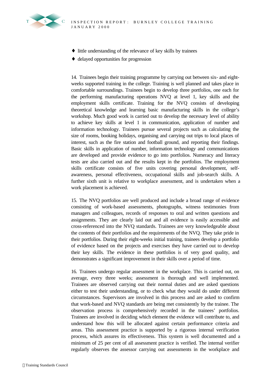

- ♦ little understanding of the relevance of key skills by trainees
- ♦ delayed opportunities for progression

14. Trainees begin their training programme by carrying out between six- and eightweeks supported training in the college. Training is well planned and takes place in comfortable surroundings. Trainees begin to develop three portfolios, one each for the performing manufacturing operations NVQ at level 1, key skills and the employment skills certificate. Training for the NVQ consists of developing theoretical knowledge and learning basic manufacturing skills in the college's workshop. Much good work is carried out to develop the necessary level of ability to achieve key skills at level 1 in communication, application of number and information technology. Trainees pursue several projects such as calculating the size of rooms, booking holidays, organising and carrying out trips to local places of interest, such as the fire station and football ground, and reporting their findings. Basic skills in application of number, information technology and communications are developed and provide evidence to go into portfolios. Numeracy and literacy tests are also carried out and the results kept in the portfolios. The employment skills certificate consists of five units covering personal development, selfawareness, personal effectiveness, occupational skills and job-search skills. A further sixth unit is relative to workplace assessment, and is undertaken when a work placement is achieved.

15. The NVQ portfolios are well produced and include a broad range of evidence consisting of work-based assessments, photographs, witness testimonies from managers and colleagues, records of responses to oral and written questions and assignments. They are clearly laid out and all evidence is easily accessible and cross-referenced into the NVQ standards. Trainees are very knowledgeable about the contents of their portfolios and the requirements of the NVQ. They take pride in their portfolios. During their eight-weeks initial training, trainees develop a portfolio of evidence based on the projects and exercises they have carried out to develop their key skills. The evidence in these portfolios is of very good quality, and demonstrates a significant improvement in their skills over a period of time.

16. Trainees undergo regular assessment in the workplace. This is carried out, on average, every three weeks; assessment is thorough and well implemented. Trainees are observed carrying out their normal duties and are asked questions either to test their understanding, or to check what they would do under different circumstances. Supervisors are involved in this process and are asked to confirm that work-based and NVQ standards are being met consistently by the trainee. The observation process is comprehensively recorded in the trainees' portfolios. Trainees are involved in deciding which element the evidence will contribute to, and understand how this will be allocated against certain performance criteria and areas. This assessment practice is supported by a rigorous internal verification process, which assures its effectiveness. This system is well documented and a minimum of 25 per cent of all assessment practice is verified. The internal verifier regularly observes the assessor carrying out assessments in the workplace and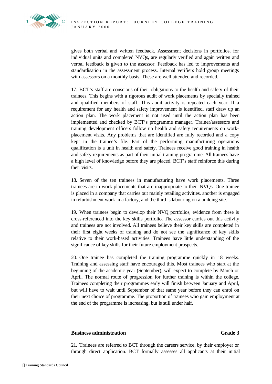gives both verbal and written feedback. Assessment decisions in portfolios, for individual units and completed NVQs, are regularly verified and again written and verbal feedback is given to the assessor. Feedback has led to improvements and standardisation in the assessment process. Internal verifiers hold group meetings with assessors on a monthly basis. These are well attended and recorded.

17. BCT's staff are conscious of their obligations to the health and safety of their trainees. This begins with a rigorous audit of work placements by specially trained and qualified members of staff. This audit activity is repeated each year. If a requirement for any health and safety improvement is identified, staff draw up an action plan. The work placement is not used until the action plan has been implemented and checked by BCT's programme manager. Trainer/assessors and training development officers follow up health and safety requirements on workplacement visits. Any problems that are identified are fully recorded and a copy kept in the trainee's file. Part of the performing manufacturing operations qualification is a unit in health and safety. Trainees receive good training in health and safety requirements as part of their initial training programme. All trainees have a high level of knowledge before they are placed. BCT's staff reinforce this during their visits.

18. Seven of the ten trainees in manufacturing have work placements. Three trainees are in work placements that are inappropriate to their NVQs. One trainee is placed in a company that carries out mainly retailing activities, another is engaged in refurbishment work in a factory, and the third is labouring on a building site.

19. When trainees begin to develop their NVQ portfolios, evidence from these is cross-referenced into the key skills portfolio. The assessor carries out this activity and trainees are not involved. All trainees believe their key skills are completed in their first eight weeks of training and do not see the significance of key skills relative to their work-based activities. Trainees have little understanding of the significance of key skills for their future employment prospects.

20. One trainee has completed the training programme quickly in 18 weeks. Training and assessing staff have encouraged this. Most trainees who start at the beginning of the academic year (September), will expect to complete by March or April. The normal route of progression for further training is within the college. Trainees completing their programmes early will finish between January and April, but will have to wait until September of that same year before they can enrol on their next choice of programme. The proportion of trainees who gain employment at the end of the programme is increasing, but is still under half.

# **Business administration Grade 3**

21. Trainees are referred to BCT through the careers service, by their employer or through direct application. BCT formally assesses all applicants at their initial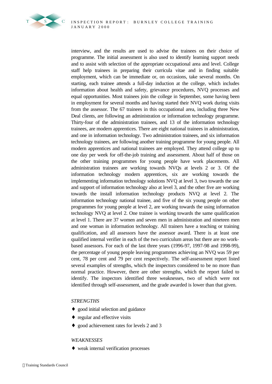

interview, and the results are used to advise the trainees on their choice of programme. The initial assessment is also used to identify learning support needs and to assist with selection of the appropriate occupational area and level. College staff help trainees in preparing their curricula vitae and in finding suitable employment, which can be immediate or, on occasions, take several months. On starting, each trainee attends a full-day induction at the college, which includes information about health and safety, grievance procedures, NVQ processes and equal opportunities. Most trainees join the college in September, some having been in employment for several months and having started their NVQ work during visits from the assessor. The 67 trainees in this occupational area, including three New Deal clients, are following an administration or information technology programme. Thirty-four of the administration trainees, and 13 of the information technology trainees, are modern apprentices. There are eight national trainees in administration, and one in information technology. Two administration trainees, and six information technology trainees, are following another training programme for young people. All modern apprentices and national trainees are employed. They attend college up to one day per week for off-the-job training and assessment. About half of those on the other training programmes for young people have work placements. All administration trainees are working towards NVQs at levels 2 or 3. Of the information technology modern apprentices, six are working towards the implementing information technology solutions NVQ at level 3, two towards the use and support of information technology also at level 3, and the other five are working towards the install information technology products NVQ at level 2. The information technology national trainee, and five of the six young people on other programmes for young people at level 2, are working towards the using information technology NVQ at level 2. One trainee is working towards the same qualification at level 1. There are 37 women and seven men in administration and nineteen men and one woman in information technology. All trainers have a teaching or training qualification, and all assessors have the assessor award. There is at least one qualified internal verifier in each of the two curriculum areas but there are no workbased assessors. For each of the last three years (1996-97, 1997-98 and 1998-99), the percentage of young people leaving programmes achieving an NVQ was 59 per cent, 78 per cent and 79 per cent respectively. The self-assessment report listed several examples of strengths, which the inspectors considered to be no more than normal practice. However, there are other strengths, which the report failed to identify. The inspectors identified three weaknesses, two of which were not identified through self-assessment, and the grade awarded is lower than that given.

# *STRENGTHS*

- good initial selection and guidance
- ♦ regular and effective visits
- ♦ good achievement rates for levels 2 and 3

# *WEAKNESSES*

♦ weak internal verification processes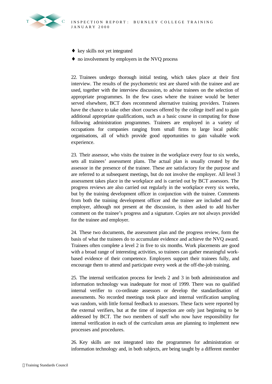

- key skills not yet integrated
- ♦ no involvement by employers in the NVQ process

22. Trainees undergo thorough initial testing, which takes place at their first interview. The results of the psychometric test are shared with the trainee and are used, together with the interview discussion, to advise trainees on the selection of appropriate programmes. In the few cases where the trainee would be better served elsewhere, BCT does recommend alternative training providers. Trainees have the chance to take other short courses offered by the college itself and to gain additional appropriate qualifications, such as a basic course in computing for those following administration programmes. Trainees are employed in a variety of occupations for companies ranging from small firms to large local public organisations, all of which provide good opportunities to gain valuable work experience.

23. Their assessor, who visits the trainee in the workplace every four to six weeks, sets all trainees' assessment plans. The actual plan is usually created by the assessor in the presence of the trainee. These are satisfactory for the purpose and are referred to at subsequent meetings, but do not involve the employer. All level 3 assessment takes place in the workplace and is carried out by BCT assessors. The progress reviews are also carried out regularly in the workplace every six weeks, but by the training development officer in conjunction with the trainee. Comments from both the training development officer and the trainee are included and the employer, although not present at the discussion, is then asked to add his/her comment on the trainee's progress and a signature. Copies are not always provided for the trainee and employer.

24. These two documents, the assessment plan and the progress review, form the basis of what the trainees do to accumulate evidence and achieve the NVQ award. Trainees often complete a level 2 in five to six months. Work placements are good with a broad range of interesting activities, so trainees can gather meaningful workbased evidence of their competence. Employers support their trainees fully, and encourage them to attend and participate every week at the off-the-job training.

25. The internal verification process for levels 2 and 3 in both administration and information technology was inadequate for most of 1999. There was no qualified internal verifier to co-ordinate assessors or develop the standardisation of assessments. No recorded meetings took place and internal verification sampling was random, with little formal feedback to assessors. These facts were reported by the external verifiers, but at the time of inspection are only just beginning to be addressed by BCT. The two members of staff who now have responsibility for internal verification in each of the curriculum areas are planning to implement new processes and procedures.

26. Key skills are not integrated into the programmes for administration or information technology and, in both subjects, are being taught by a different member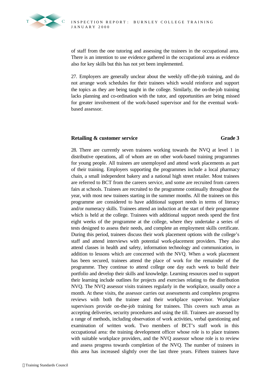of staff from the one tutoring and assessing the trainees in the occupational area. There is an intention to use evidence gathered in the occupational area as evidence also for key skills but this has not yet been implemented.

27. Employers are generally unclear about the weekly off-the-job training, and do not arrange work schedules for their trainees which would reinforce and support the topics as they are being taught in the college. Similarly, the on-the-job training lacks planning and co-ordination with the tutor, and opportunities are being missed for greater involvement of the work-based supervisor and for the eventual workbased assessor.

# **Retailing & customer service Grade 3**

28. There are currently seven trainees working towards the NVQ at level 1 in distributive operations, all of whom are on other work-based training programmes for young people. All trainees are unemployed and attend work placements as part of their training. Employers supporting the programmes include a local pharmacy chain, a small independent bakery and a national high street retailer. Most trainees are referred to BCT from the careers service, and some are recruited from careers fairs at schools. Trainees are recruited to the programme continually throughout the year, with most new trainees starting in the summer months. All the trainees on this programme are considered to have additional support needs in terms of literacy and/or numeracy skills. Trainees attend an induction at the start of their programme which is held at the college. Trainees with additional support needs spend the first eight weeks of the programme at the college, where they undertake a series of tests designed to assess their needs, and complete an employment skills certificate. During this period, trainees discuss their work placement options with the college's staff and attend interviews with potential work-placement providers. They also attend classes in health and safety, information technology and communication, in addition to lessons which are concerned with the NVQ. When a work placement has been secured, trainees attend the place of work for the remainder of the programme. They continue to attend college one day each week to build their portfolio and develop their skills and knowledge. Learning resources used to support their learning include outlines for projects and exercises relating to the distribution NVQ. The NVQ assessor visits trainees regularly in the workplace, usually once a month. At these visits, the assessor carries out assessments and completes progress reviews with both the trainee and their workplace supervisor. Workplace supervisors provide on-the-job training for trainees. This covers such areas as accepting deliveries, security procedures and using the till. Trainees are assessed by a range of methods, including observation of work activities, verbal questioning and examination of written work. Two members of BCT's staff work in this occupational area: the training development officer whose role is to place trainees with suitable workplace providers, and the NVQ assessor whose role is to review and assess progress towards completion of the NVQ. The number of trainees in this area has increased slightly over the last three years. Fifteen trainees have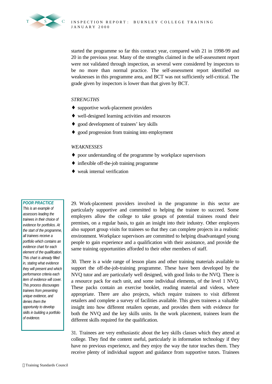

started the programme so far this contract year, compared with 21 in 1998-99 and 20 in the previous year. Many of the strengths claimed in the self-assessment report were not validated through inspection, as several were considered by inspectors to be no more than normal practice. The self-assessment report identified no weaknesses in this programme area, and BCT was not sufficiently self-critical. The grade given by inspectors is lower than that given by BCT.

# *STRENGTHS*

- ♦ supportive work-placement providers
- ♦ well-designed learning activities and resources
- ♦ good development of trainees' key skills
- ♦ good progression from training into employment

### *WEAKNESSES*

- ♦ poor understanding of the programme by workplace supervisors
- ♦ inflexible off-the-job training programme
- ♦ weak internal verification

### *POOR PRACTICE*

*This is an example of assessors leading the trainees in their choice of evidence for portfolios. At the start of the programme, all trainees receive a portfolio which contains an evidence chart for each element of the qualification. This chart is already filled in, stating what evidence they will present and which performance criteria each item of evidence will cover. This process discourages trainees from presenting unique evidence, and denies them the opportunity to develop skills in building a portfolio of evidence.*

29. Work-placement providers involved in the programme in this sector are particularly supportive and committed to helping the trainee to succeed. Some employers allow the college to take groups of potential trainees round their premises, on a regular basis, to gain an insight into their industry. Other employers also support group visits for trainees so that they can complete projects in a realistic environment. Workplace supervisors are committed to helping disadvantaged young people to gain experience and a qualification with their assistance, and provide the same training opportunities afforded to their other members of staff.

30. There is a wide range of lesson plans and other training materials available to support the off-the-job-training programme. These have been developed by the NVQ tutor and are particularly well designed, with good links to the NVQ. There is a resource pack for each unit, and some individual elements, of the level 1 NVQ. These packs contain an exercise booklet, reading material and videos, where appropriate. There are also projects, which require trainees to visit different retailers and complete a survey of facilities available. This gives trainees a valuable insight into how different retailers operate, and provides them with evidence for both the NVQ and the key skills units. In the work placement, trainees learn the different skills required for the qualification.

31. Trainees are very enthusiastic about the key skills classes which they attend at college. They find the content useful, particularly in information technology if they have no previous experience, and they enjoy the way the tutor teaches them. They receive plenty of individual support and guidance from supportive tutors. Trainees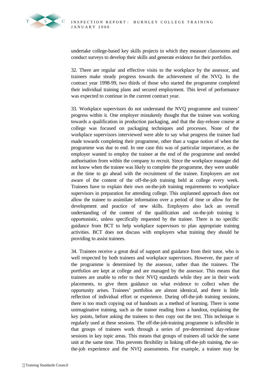

undertake college-based key skills projects in which they measure classrooms and conduct surveys to develop their skills and generate evidence for their portfolios.

32. There are regular and effective visits to the workplace by the assessor, and trainees make steady progress towards the achievement of the NVQ. In the contract year 1998-99, two thirds of those who started the programme completed their individual training plans and secured employment. This level of performance was expected to continue in the current contract year.

33. Workplace supervisors do not understand the NVQ programme and trainees' progress within it. One employer mistakenly thought that the trainee was working towards a qualification in production packaging, and that the day-release course at college was focused on packaging techniques and processes. None of the workplace supervisors interviewed were able to say what progress the trainee had made towards completing their programme, other than a vague notion of when the programme was due to end. In one case this was of particular importance, as the employer wanted to employ the trainee at the end of the programme and needed authorisation from within the company to recruit. Since the workplace manager did not know when the trainee was likely to complete the programme, they were unable at the time to go ahead with the recruitment of the trainee. Employers are not aware of the content of the off-the-job training held at college every week. Trainees have to explain their own on-the-job training requirements to workplace supervisors in preparation for attending college. This unplanned approach does not allow the trainee to assimilate information over a period of time or allow for the development and practice of new skills. Employers also lack an overall understanding of the content of the qualification and on-the-job training is opportunistic, unless specifically requested by the trainee. There is no specific guidance from BCT to help workplace supervisors to plan appropriate training activities. BCT does not discuss with employers what training they should be providing to assist trainees.

34. Trainees receive a great deal of support and guidance from their tutor, who is well respected by both trainees and workplace supervisors. However, the pace of the programme is determined by the assessor, rather than the trainees. The portfolios are kept at college and are managed by the assessor. This means that trainees are unable to refer to their NVQ standards while they are in their work placements, to give them guidance on what evidence to collect when the opportunity arises. Trainees' portfolios are almost identical, and there is little reflection of individual effort or experience. During off-the-job training sessions, there is too much copying out of handouts as a method of learning. There is some unimaginative training, such as the trainer reading from a handout, explaining the key points, before asking the trainees to then copy out the text. This technique is regularly used at these sessions. The off-the-job-training programme is inflexible in that groups of trainees work through a series of pre-determined day-release sessions in key topic areas. This means that groups of trainees all tackle the same unit at the same time. This prevents flexibility in linking off-the-job training, the onthe-job experience and the NVQ assessments. For example, a trainee may be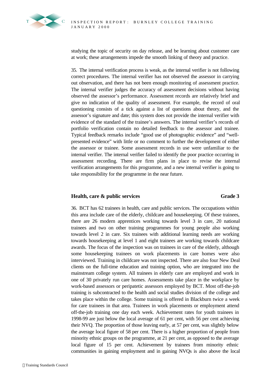

studying the topic of security on day release, and be learning about customer care at work; these arrangements impede the smooth linking of theory and practice.

35. The internal verification process is weak, as the internal verifier is not following correct procedures. The internal verifier has not observed the assessor in carrying out observation, and there has not been enough monitoring of assessment practice. The internal verifier judges the accuracy of assessment decisions without having observed the assessor's performance. Assessment records are relatively brief and give no indication of the quality of assessment. For example, the record of oral questioning consists of a tick against a list of questions about theory, and the assessor's signature and date; this system does not provide the internal verifier with evidence of the standard of the trainee's answers. The internal verifier's records of portfolio verification contain no detailed feedback to the assessor and trainee. Typical feedback remarks include "good use of photographic evidence" and "wellpresented evidence" with little or no comment to further the development of either the assessor or trainee. Some assessment records in use were unfamiliar to the internal verifier. The internal verifier failed to identify the poor practice occurring in assessment recording. There are firm plans in place to revise the internal verification arrangements for this programme, and a new internal verifier is going to take responsibility for the programme in the near future.

# **Health, care & public services Grade 3**

36. BCT has 62 trainees in health, care and public services. The occupations within this area include care of the elderly, childcare and housekeeping. Of these trainees, there are 26 modern apprentices working towards level 3 in care, 20 national trainees and two on other training programmes for young people also working towards level 2 in care. Six trainees with additional learning needs are working towards housekeeping at level 1 and eight trainees are working towards childcare awards. The focus of the inspection was on trainees in care of the elderly, although some housekeeping trainees on work placements in care homes were also interviewed. Training in childcare was not inspected. There are also four New Deal clients on the full-time education and training option, who are integrated into the mainstream college system. All trainees in elderly care are employed and work in one of 30 privately run care homes. Assessments take place in the workplace by work-based assessors or peripatetic assessors employed by BCT. Most off-the-job training is subcontracted to the health and social studies division of the college and takes place within the college. Some training is offered in Blackburn twice a week for care trainees in that area. Trainees in work placements or employment attend off-the-job training one day each week. Achievement rates for youth trainees in 1998-99 are just below the local average of 61 per cent, with 56 per cent achieving their NVQ. The proportion of those leaving early, at 57 per cent, was slightly below the average local figure of 58 per cent. There is a higher proportion of people from minority ethnic groups on the programme, at 21 per cent, as opposed to the average local figure of 15 per cent. Achievement by trainees from minority ethnic communities in gaining employment and in gaining NVQs is also above the local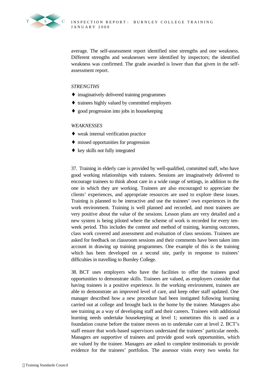

average. The self-assessment report identified nine strengths and one weakness. Different strengths and weaknesses were identified by inspectors; the identified weakness was confirmed. The grade awarded is lower than that given in the selfassessment report.

# *STRENGTHS*

- ♦ imaginatively delivered training programmes
- ♦ trainees highly valued by committed employers
- ♦ good progression into jobs in housekeeping

# *WEAKNESSES*

- ♦ weak internal verification practice
- ♦ missed opportunities for progression
- ♦ key skills not fully integrated

37. Training in elderly care is provided by well-qualified, committed staff, who have good working relationships with trainees. Sessions are imaginatively delivered to encourage trainees to think about care in a wide range of settings, in addition to the one in which they are working. Trainees are also encouraged to appreciate the clients' experiences, and appropriate resources are used to explore these issues. Training is planned to be interactive and use the trainees' own experiences in the work environment. Training is well planned and recorded, and most trainees are very positive about the value of the sessions. Lesson plans are very detailed and a new system is being piloted where the scheme of work is recorded for every tenweek period. This includes the content and method of training, learning outcomes, class work covered and assessment and evaluation of class sessions. Trainees are asked for feedback on classroom sessions and their comments have been taken into account in drawing up training programmes. One example of this is the training which has been developed on a second site, partly in response to trainees' difficulties in travelling to Burnley College.

38. BCT uses employers who have the facilities to offer the trainees good opportunities to demonstrate skills. Trainees are valued, as employers consider that having trainees is a positive experience. In the working environment, trainees are able to demonstrate an improved level of care, and keep other staff updated. One manager described how a new procedure had been instigated following learning carried out at college and brought back to the home by the trainee. Managers also see training as a way of developing staff and their careers. Trainees with additional learning needs undertake housekeeping at level 1; sometimes this is used as a foundation course before the trainee moves on to undertake care at level 2. BCT's staff ensure that work-based supervisors understand the trainees' particular needs. Managers are supportive of trainees and provide good work opportunities, which are valued by the trainee. Managers are asked to complete testimonials to provide evidence for the trainees' portfolios. The assessor visits every two weeks for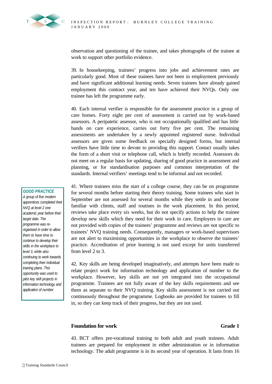

observation and questioning of the trainee, and takes photographs of the trainee at work to support other portfolio evidence.

39. In housekeeping, trainees' progress into jobs and achievement rates are particularly good. Most of these trainees have not been in employment previously and have significant additional learning needs. Seven trainees have already gained employment this contract year, and ten have achieved their NVQs. Only one trainee has left the programme early.

40. Each internal verifier is responsible for the assessment practice in a group of care homes. Forty eight per cent of assessment is carried out by work-based assessors. A peripatetic assessor, who is not occupationally qualified and has little hands on care experience, carries out forty five per cent. The remaining assessments are undertaken by a newly appointed registered nurse. Individual assessors are given some feedback on specially designed forms, but internal verifiers have little time to devote to providing this support. Contact usually takes the form of a short visit or telephone call, which is briefly recorded. Assessors do not meet on a regular basis for updating, sharing of good practice in assessment and planning, or for standardisation purposes and common interpretation of the standards. Internal verifiers' meetings tend to be informal and not recorded.

### *GOOD PRACTICE*

*A group of five modern apprentices completed their NVQ at level 2 one academic year before their target date. The programme was reorganised in order to allow them to have time to continue to develop their skills in the workplace to level 3, while also continuing to work towards completing their individual training plans. This opportunity was used to pilot key skill projects in information technology and application of number.*

41. Where trainees miss the start of a college course, they can be on programme for several months before starting their theory training. Some trainees who start in September are not assessed for several months while they settle in and become familiar with clients, staff and routines in the work placement. In this period, reviews take place every six weeks, but do not specify actions to help the trainee develop new skills which they need for their work in care. Employers in care are not provided with copies of the trainees' programme and reviews are not specific to trainees' NVQ training needs. Consequently, managers or work-based supervisors are not alert to maximising opportunities in the workplace to observe the trainees' practice. Accreditation of prior learning is not used except for units transferred from level 2 to 3.

42. Key skills are being developed imaginatively, and attempts have been made to relate project work for information technology and application of number to the workplace. However, key skills are not yet integrated into the occupational programme. Trainees are not fully aware of the key skills requirements and see them as separate to their NVQ training. Key skills assessment is not carried out continuously throughout the programme. Logbooks are provided for trainees to fill in, so they can keep track of their progress, but they are not used.

# **Foundation for work Grade 1**

43. BCT offers pre-vocational training to both adult and youth trainees. Adult trainees are prepared for employment in either administration or in information technology. The adult programme is in its second year of operation. It lasts from 16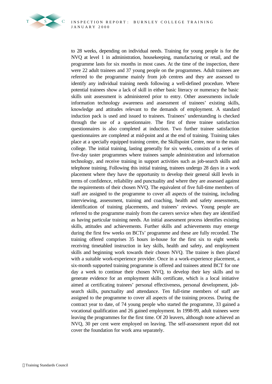

to 28 weeks, depending on individual needs. Training for young people is for the NVQ at level 1 in administration, housekeeping, manufacturing or retail, and the programme lasts for six months in most cases. At the time of the inspection, there were 22 adult trainees and 37 young people on the programmes. Adult trainees are referred to the programme mainly from job centres and they are assessed to identify any individual training needs following a well-defined procedure. Where potential trainees show a lack of skill in either basic literacy or numeracy the basic skills unit assessment is administered prior to entry. Other assessments include information technology awareness and assessment of trainees' existing skills, knowledge and attitudes relevant to the demands of employment. A standard induction pack is used and issued to trainees. Trainees' understanding is checked through the use of a questionnaire. The first of three trainee satisfaction questionnaires is also completed at induction. Two further trainee satisfaction questionnaires are completed at mid-point and at the end of training. Training takes place at a specially equipped training centre, the Skillspoint Centre, near to the main college. The initial training, lasting generally for six weeks, consists of a series of five-day taster programmes where trainees sample administration and information technology, and receive training in support activities such as job-search skills and telephone training. Following this initial training, trainees undergo 28 days in a work placement where they have the opportunity to develop their general skill levels in terms of confidence, reliability and punctuality and where they are assessed against the requirements of their chosen NVQ. The equivalent of five full-time members of staff are assigned to the programme to cover all aspects of the training, including interviewing, assessment, training and coaching, health and safety assessments, identification of training placements, and trainees' reviews. Young people are referred to the programme mainly from the careers service when they are identified as having particular training needs. An initial assessment process identifies existing skills, attitudes and achievements. Further skills and achievements may emerge during the first few weeks on BCTs' programme and these are fully recorded. The training offered comprises 35 hours in-house for the first six to eight weeks receiving timetabled instruction in key skills, health and safety, and employment skills and beginning work towards their chosen NVQ. The trainee is then placed with a suitable work-experience provider. Once in a work-experience placement, a six-month supported training programme is offered and trainees attend BCT for one day a week to continue their chosen NVQ, to develop their key skills and to generate evidence for an employment skills certificate, which is a local initiative aimed at certificating trainees' personal effectiveness, personal development, jobsearch skills, punctuality and attendance. Ten full-time members of staff are assigned to the programme to cover all aspects of the training process. During the contract year to date, of 74 young people who started the programme, 33 gained a vocational qualification and 26 gained employment. In 1998-99, adult trainees were leaving the programmes for the first time. Of 20 leavers, although none achieved an NVQ, 30 per cent were employed on leaving. The self-assessment report did not cover the foundation for work area separately.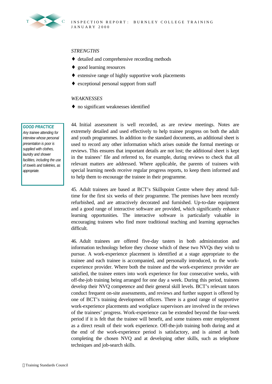

# *STRENGTHS*

- ♦ detailed and comprehensive recording methods
- ♦ good learning resources
- ♦ extensive range of highly supportive work placements
- ♦ exceptional personal support from staff

### *WEAKNESSES*

♦ no significant weaknesses identified

### *GOOD PRACTICE*

*Any trainee attending for interview whose personal presentation is poor is supplied with clothes, laundry and shower facilities, including the use of towels and toiletries, as appropriate.*

44. Initial assessment is well recorded, as are review meetings. Notes are extremely detailed and used effectively to help trainee progress on both the adult and youth programmes. In addition to the standard documents, an additional sheet is used to record any other information which arises outside the formal meetings or reviews. This ensures that important details are not lost; the additional sheet is kept in the trainees' file and referred to, for example, during reviews to check that all relevant matters are addressed. Where applicable, the parents of trainees with special learning needs receive regular progress reports, to keep them informed and to help them to encourage the trainee in their programme.

45. Adult trainees are based at BCT's Skillspoint Centre where they attend fulltime for the first six weeks of their programme. The premises have been recently refurbished, and are attractively decorated and furnished. Up-to-date equipment and a good range of interactive software are provided, which significantly enhance learning opportunities. The interactive software is particularly valuable in encouraging trainees who find more traditional teaching and learning approaches difficult.

46. Adult trainees are offered five-day tasters in both administration and information technology before they choose which of these two NVQs they wish to pursue. A work-experience placement is identified at a stage appropriate to the trainee and each trainee is accompanied, and personally introduced, to the workexperience provider. Where both the trainee and the work-experience provider are satisfied, the trainee enters into work experience for four consecutive weeks, with off-the-job training being arranged for one day a week. During this period, trainees develop their NVQ competence and their general skill levels. BCT's relevant tutors conduct frequent on-site assessments, and reviews and further support is offered by one of BCT's training development officers. There is a good range of supportive work-experience placements and workplace supervisors are involved in the reviews of the trainees' progress. Work-experience can be extended beyond the four-week period if it is felt that the trainee will benefit, and some trainees enter employment as a direct result of their work experience. Off-the-job training both during and at the end of the work-experience period is satisfactory, and is aimed at both completing the chosen NVQ and at developing other skills, such as telephone techniques and job-search skills.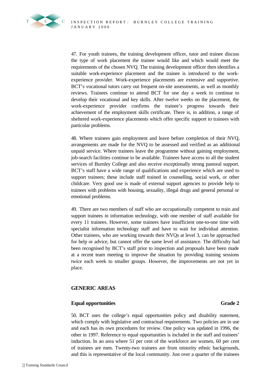47. For youth trainees, the training development officer, tutor and trainee discuss the type of work placement the trainee would like and which would meet the requirements of the chosen NVQ. The training development officer then identifies a suitable work-experience placement and the trainee is introduced to the workexperience provider. Work-experience placements are extensive and supportive. BCT's vocational tutors carry out frequent on-site assessments, as well as monthly reviews. Trainees continue to attend BCT for one day a week to continue to develop their vocational and key skills. After twelve weeks on the placement, the work-experience provider confirms the trainee's progress towards their achievement of the employment skills certificate. There is, in addition, a range of sheltered work-experience placements which offer specific support to trainees with particular problems.

48. Where trainees gain employment and leave before completion of their NVQ, arrangements are made for the NVQ to be assessed and verified as an additional unpaid service. Where trainees leave the programme without gaining employment, job-search facilities continue to be available. Trainees have access to all the student services of Burnley College and also receive exceptionally strong pastoral support. BCT's staff have a wide range of qualifications and experience which are used to support trainees; these include staff trained in counselling, social work, or other childcare. Very good use is made of external support agencies to provide help to trainees with problems with housing, sexuality, illegal drugs and general personal or emotional problems.

49. There are two members of staff who are occupationally competent to train and support trainees in information technology, with one member of staff available for every 11 trainees. However, some trainees have insufficient one-to-one time with specialist information technology staff and have to wait for individual attention. Other trainees, who are working towards their NVQs at level 3, can be approached for help or advice, but cannot offer the same level of assistance. The difficulty had been recognised by BCT's staff prior to inspection and proposals have been made at a recent team meeting to improve the situation by providing training sessions twice each week to smaller groups. However, the improvements are not yet in place.

# **GENERIC AREAS**

# **Equal opportunities Grade 2**

50. BCT uses the college's equal opportunities policy and disability statement, which comply with legislative and contractual requirements. Two policies are in use and each has its own procedures for review. One policy was updated in 1996, the other in 1997. Reference to equal opportunities is included in the staff and trainees' induction. In an area where 51 per cent of the workforce are women, 60 per cent of trainees are men. Twenty-two trainees are from minority ethnic backgrounds, and this is representative of the local community. Just over a quarter of the trainees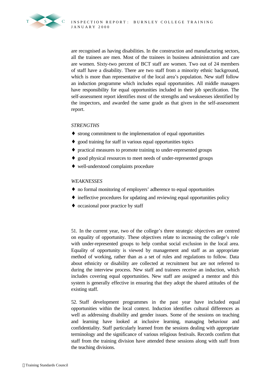

are recognised as having disabilities. In the construction and manufacturing sectors, all the trainees are men. Most of the trainees in business administration and care are women. Sixty-two percent of BCT staff are women. Two out of 24 members of staff have a disability. There are two staff from a minority ethnic background, which is more than representative of the local area's population. New staff follow an induction programme which includes equal opportunities. All middle managers have responsibility for equal opportunities included in their job specification. The self-assessment report identifies most of the strengths and weaknesses identified by the inspectors, and awarded the same grade as that given in the self-assessment report.

# *STRENGTHS*

- ♦ strong commitment to the implementation of equal opportunities
- ♦ good training for staff in various equal opportunities topics
- ♦ practical measures to promote training to under-represented groups
- ♦ good physical resources to meet needs of under-represented groups
- ♦ well-understood complaints procedure

# *WEAKNESSES*

- ♦ no formal monitoring of employers' adherence to equal opportunities
- ♦ ineffective procedures for updating and reviewing equal opportunities policy
- ♦ occasional poor practice by staff

51. In the current year, two of the college's three strategic objectives are centred on equality of opportunity. These objectives relate to increasing the college's role with under-represented groups to help combat social exclusion in the local area. Equality of opportunity is viewed by management and staff as an appropriate method of working, rather than as a set of rules and regulations to follow. Data about ethnicity or disability are collected at recruitment but are not referred to during the interview process. New staff and trainees receive an induction, which includes covering equal opportunities. New staff are assigned a mentor and this system is generally effective in ensuring that they adopt the shared attitudes of the existing staff.

52. Staff development programmes in the past year have included equal opportunities within the local context. Induction identifies cultural differences as well as addressing disability and gender issues. Some of the sessions on teaching and learning have looked at inclusive learning, managing behaviour and confidentiality. Staff particularly learned from the sessions dealing with appropriate terminology and the significance of various religious festivals. Records confirm that staff from the training division have attended these sessions along with staff from the teaching divisions.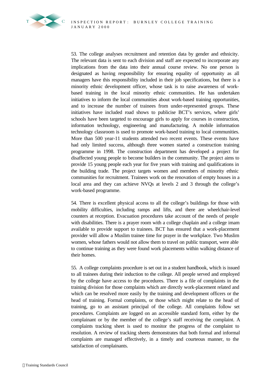

53. The college analyses recruitment and retention data by gender and ethnicity. The relevant data is sent to each division and staff are expected to incorporate any implications from the data into their annual course review. No one person is designated as having responsibility for ensuring equality of opportunity as all managers have this responsibility included in their job specifications, but there is a minority ethnic development officer, whose task is to raise awareness of workbased training in the local minority ethnic communities. He has undertaken initiatives to inform the local communities about work-based training opportunities, and to increase the number of trainees from under-represented groups. These initiatives have included road shows to publicise BCT's services, where girls' schools have been targeted to encourage girls to apply for courses in construction, information technology, engineering and manufacturing. A mobile information technology classroom is used to promote work-based training to local communities. More than 500 year-11 students attended two recent events. These events have had only limited success, although three women started a construction training programme in 1998. The construction department has developed a project for disaffected young people to become builders in the community. The project aims to provide 15 young people each year for five years with training and qualifications in the building trade. The project targets women and members of minority ethnic communities for recruitment. Trainees work on the renovation of empty houses in a local area and they can achieve NVQs at levels 2 and 3 through the college's work-based programme.

54. There is excellent physical access to all the college's buildings for those with mobility difficulties, including ramps and lifts, and there are wheelchair-level counters at reception. Evacuation procedures take account of the needs of people with disabilities. There is a prayer room with a college chaplain and a college imam available to provide support to trainees. BCT has ensured that a work-placement provider will allow a Muslim trainee time for prayer in the workplace. Two Muslim women, whose fathers would not allow them to travel on public transport, were able to continue training as they were found work placements within walking distance of their homes.

55. A college complaints procedure is set out in a student handbook, which is issued to all trainees during their induction to the college. All people served and employed by the college have access to the procedures. There is a file of complaints in the training division for those complaints which are directly work-placement related and which can be resolved more easily by the training and development officers or the head of training. Formal complaints, or those which might relate to the head of training, go to an assistant principal of the college. All complaints follow set procedures. Complaints are logged on an accessible standard form, either by the complainant or by the member of the college's staff receiving the complaint. A complaints tracking sheet is used to monitor the progress of the complaint to resolution. A review of tracking sheets demonstrates that both formal and informal complaints are managed effectively, in a timely and courteous manner, to the satisfaction of complainants.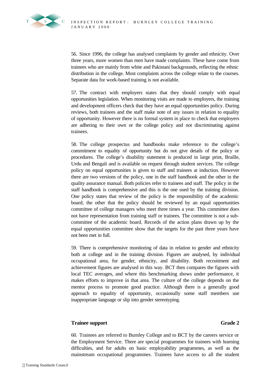56. Since 1996, the college has analysed complaints by gender and ethnicity. Over three years, more women than men have made complaints. These have come from trainees who are mainly from white and Pakistani backgrounds, reflecting the ethnic distribution in the college. Most complaints across the college relate to the courses. Separate data for work-based training is not available.

57. The contract with employers states that they should comply with equal opportunities legislation. When monitoring visits are made to employers, the training and development officers check that they have an equal opportunities policy. During reviews, both trainees and the staff make note of any issues in relation to equality of opportunity. However there is no formal system in place to check that employers are adhering to their own or the college policy and not discriminating against trainees.

58. The college prospectus and handbooks make reference to the college's commitment to equality of opportunity but do not give details of the policy or procedures. The college's disability statement is produced in large print, Braille, Urdu and Bengali and is available on request through student services. The college policy on equal opportunities is given to staff and trainees at induction. However there are two versions of the policy, one in the staff handbook and the other in the quality assurance manual. Both policies refer to trainees and staff. The policy in the staff handbook is comprehensive and this is the one used by the training division. One policy states that review of the policy is the responsibility of the academic board; the other that the policy should be reviewed by an equal opportunities committee of college managers who meet three times a year. This committee does not have representation from training staff or trainees. The committee is not a subcommittee of the academic board. Records of the action plans drawn up by the equal opportunities committee show that the targets for the past three years have not been met in full.

59. There is comprehensive monitoring of data in relation to gender and ethnicity both at college and in the training division. Figures are analysed, by individual occupational area, for gender, ethnicity, and disability. Both recruitment and achievement figures are analysed in this way. BCT then compares the figures with local TEC averages, and where this benchmarking shows under performance, it makes efforts to improve in that area. The culture of the college depends on the mentor process to promote good practice. Although there is a generally good approach to equality of opportunity, occasionally some staff members use inappropriate language or slip into gender stereotyping.

# **Trainee support Grade 2**

60. Trainees are referred to Burnley College and to BCT by the careers service or the Employment Service. There are special programmes for trainees with learning difficulties, and for adults on basic employability programmes, as well as the mainstream occupational programmes. Trainees have access to all the student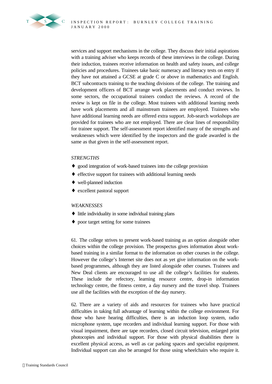services and support mechanisms in the college. They discuss their initial aspirations with a training adviser who keeps records of these interviews in the college. During their induction, trainees receive information on health and safety issues, and college policies and procedures. Trainees take basic numeracy and literacy tests on entry if they have not attained a GCSE at grade C or above in mathematics and English. BCT subcontracts training to the teaching divisions of the college. The training and development officers of BCT arrange work placements and conduct reviews. In some sectors, the occupational trainers conduct the reviews. A record of the review is kept on file in the college. Most trainees with additional learning needs have work placements and all mainstream trainees are employed. Trainees who have additional learning needs are offered extra support. Job-search workshops are provided for trainees who are not employed. There are clear lines of responsibility for trainee support. The self-assessment report identified many of the strengths and weaknesses which were identified by the inspectors and the grade awarded is the same as that given in the self-assessment report.

# *STRENGTHS*

- ♦ good integration of work-based trainees into the college provision
- ♦ effective support for trainees with additional learning needs
- ♦ well-planned induction
- ♦ excellent pastoral support

# *WEAKNESSES*

- ♦ little individuality in some individual training plans
- ♦ poor target setting for some trainees

61. The college strives to present work-based training as an option alongside other choices within the college provision. The prospectus gives information about workbased training in a similar format to the information on other courses in the college. However the college's Internet site does not as yet give information on the workbased programmes, although they are listed alongside other courses. Trainees and New Deal clients are encouraged to use all the college's facilities for students. These include the refectory, learning resource centre, drop-in information technology centre, the fitness centre, a day nursery and the travel shop. Trainees use all the facilities with the exception of the day nursery.

62. There are a variety of aids and resources for trainees who have practical difficulties in taking full advantage of learning within the college environment. For those who have hearing difficulties, there is an induction loop system, radio microphone system, tape recorders and individual learning support. For those with visual impairment, there are tape recorders, closed circuit television, enlarged print photocopies and individual support. For those with physical disabilities there is excellent physical access, as well as car parking spaces and specialist equipment. Individual support can also be arranged for those using wheelchairs who require it.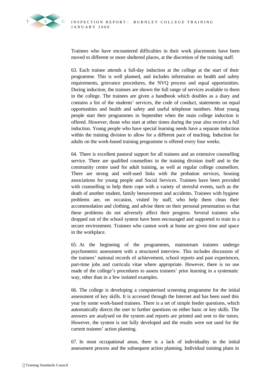

Trainees who have encountered difficulties in their work placements have been moved to different or more sheltered places, at the discretion of the training staff.

63. Each trainee attends a full-day induction at the college at the start of their programme. This is well planned, and includes information on health and safety requirements, grievance procedures, the NVQ process and equal opportunities. During induction, the trainees are shown the full range of services available to them in the college. The trainees are given a handbook which doubles as a diary and contains a list of the students' services, the code of conduct, statements on equal opportunities and health and safety and useful telephone numbers. Most young people start their programmes in September when the main college induction is offered. However, those who start at other times during the year also receive a full induction. Young people who have special learning needs have a separate induction within the training division to allow for a different pace of teaching. Induction for adults on the work-based training programme is offered every four weeks.

64. There is excellent pastoral support for all trainees and an extensive counselling service. There are qualified counsellors in the training division itself and in the community centre used for adult training, as well as regular college counsellors. There are strong and well-used links with the probation services, housing associations for young people and Social Services. Trainees have been provided with counselling to help them cope with a variety of stressful events, such as the death of another student, family bereavement and accidents. Trainees with hygiene problems are, on occasion, visited by staff, who help them clean their accommodation and clothing, and advise them on their personal presentation so that these problems do not adversely affect their progress. Several trainees who dropped out of the school system have been encouraged and supported to train in a secure environment. Trainees who cannot work at home are given time and space in the workplace.

65. At the beginning of the programmes, mainstream trainees undergo psychometric assessment with a structured interview. This includes discussion of the trainees' national records of achievement, school reports and past experiences, part-time jobs and curricula vitae where appropriate. However, there is no use made of the college's procedures to assess trainees' prior learning in a systematic way, other than in a few isolated examples.

66. The college is developing a computerised screening programme for the initial assessment of key skills. It is accessed through the Internet and has been used this year by some work-based trainees. There is a set of simple feeder questions, which automatically directs the user to further questions on either basic or key skills. The answers are analysed on the system and reports are printed and sent to the tutors. However, the system is not fully developed and the results were not used for the current trainees' action planning.

67. In most occupational areas, there is a lack of individuality in the initial assessment process and the subsequent action planning. Individual training plans in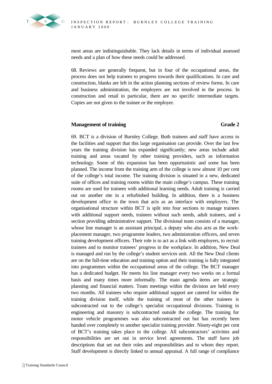

most areas are indistinguishable. They lack details in terms of individual assessed needs and a plan of how these needs could be addressed.

68. Reviews are generally frequent, but in four of the occupational areas, the process does not help trainees to progress towards their qualifications. In care and construction, blanks are left in the action planning sections of review forms. In care and business administration, the employers are not involved in the process. In construction and retail in particular, there are no specific intermediate targets. Copies are not given to the trainee or the employer.

# **Management of training Grade 2**

69. BCT is a division of Burnley College. Both trainees and staff have access to the facilities and support that this large organisation can provide. Over the last few years the training division has expanded significantly; new areas include adult training and areas vacated by other training providers, such as information technology. Some of this expansion has been opportunistic and some has been planned. The income from the training arm of the college is now almost 10 per cent of the college's total income. The training division is situated in a new, dedicated suite of offices and training rooms within the main college's campus. These training rooms are used for trainees with additional learning needs. Adult training is carried out on another site in a refurbished building. In addition, there is a business development office in the town that acts as an interface with employers. The organisational structure within BCT is split into four sections to manage trainees with additional support needs, trainees without such needs, adult trainees, and a section providing administrative support. The divisional team consists of a manager, whose line manager is an assistant principal, a deputy who also acts as the workplacement manager, two programme leaders, two administration officers, and seven training development officers. Their role is to act as a link with employers, to recruit trainees and to monitor trainees' progress in the workplace. In addition, New Deal is managed and run by the college's student services unit. All the New Deal clients are on the full-time education and training option and their training is fully integrated into programmes within the occupational areas of the college. The BCT manager has a dedicated budget. He meets his line manager every two weeks on a formal basis and many times more informally. The main agenda items are strategic planning and financial matters. Team meetings within the division are held every two months. All trainees who require additional support are catered for within the training division itself, while the training of most of the other trainees is subcontracted out to the college's specialist occupational divisions. Training in engineering and masonry is subcontracted outside the college. The training for motor vehicle programmes was also subcontracted out but has recently been handed over completely to another specialist training provider. Ninety-eight per cent of BCT's training takes place in the college. All subcontractors' activities and responsibilities are set out in service level agreements. The staff have job descriptions that set out their roles and responsibilities and to whom they report. Staff development is directly linked to annual appraisal. A full range of compliance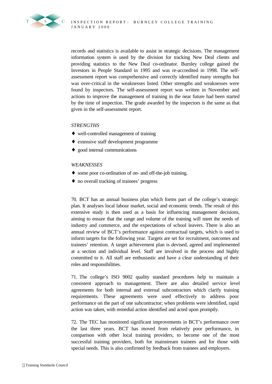

records and statistics is available to assist in strategic decisions. The management information system is used by the division for tracking New Deal clients and providing statistics to the New Deal co-ordinator. Burnley college gained the Investors in People Standard in 1995 and was re-accredited in 1998. The selfassessment report was comprehensive and correctly identified many strengths but was over-critical in the weaknesses listed. Other strengths and weaknesses were found by inspectors. The self-assessment report was written in November and actions to improve the management of training in the near future had been started by the time of inspection. The grade awarded by the inspectors is the same as that given in the self-assessment report.

# *STRENGTHS*

- ♦ well-controlled management of training
- ♦ extensive staff development programme
- ♦ good internal communications

# *WEAKNESSES*

- ♦ some poor co-ordination of on- and off-the-job training.
- ♦ no overall tracking of trainees' progress

70. BCT has an annual business plan which forms part of the college's strategic plan. It analyses local labour market, social and economic trends. The result of this extensive study is then used as a basis for influencing management decisions, aiming to ensure that the range and volume of the training will meet the needs of industry and commerce, and the expectations of school leavers. There is also an annual review of BCT's performance against contractual targets, which is used to inform targets for the following year. Targets are set for recruitment, outcomes and trainees' retention. A target achievement plan is devised, agreed and implemented at a section and individual level. Staff are involved in the process and highly committed to it. All staff are enthusiastic and have a clear understanding of their roles and responsibilities.

71. The college's ISO 9002 quality standard procedures help to maintain a consistent approach to management. There are also detailed service level agreements for both internal and external subcontractors which clarify training requirements. These agreements were used effectively to address poor performance on the part of one subcontractor; when problems were identified, rapid action was taken, with remedial action identified and acted upon promptly.

72. The TEC has monitored significant improvements in BCT's performance over the last three years. BCT has moved from relatively poor performance, in comparison with other local training providers, to become one of the most successful training providers, both for mainstream trainees and for those with special needs. This is also confirmed by feedback from trainees and employers.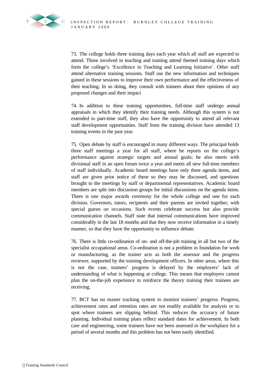

73. The college holds three training days each year which all staff are expected to attend. Those involved in teaching and training attend themed training days which form the college's 'Excellence in Teaching and Learning Initiative'. Other staff attend alternative training sessions. Staff use the new information and techniques gained in these sessions to improve their own performance and the effectiveness of their teaching. In so doing, they consult with trainees about their opinions of any proposed changes and their impact

74. In addition to these training opportunities, full-time staff undergo annual appraisals in which they identify their training needs. Although this system is not extended to part-time staff, they also have the opportunity to attend all relevant staff development opportunities. Staff from the training division have attended 13 training events in the past year.

75. Open debate by staff is encouraged in many different ways. The principal holds three staff meetings a year for all staff, where he reports on the college's performance against strategic targets and annual goals; he also meets with divisional staff in an open forum twice a year and meets all new full-time members of staff individually. Academic board meetings have only three agenda items, and staff are given prior notice of these so they may be discussed, and questions brought to the meetings by staff or departmental representatives. Academic board members are split into discussion groups for initial discussions on the agenda items. There is one major awards ceremony for the whole college and one for each division. Governors, tutors, recipients and their parents are invited together, with special guests on occasions. Such events celebrate success but also provide communication channels. Staff state that internal communications have improved considerably in the last 18 months and that they now receive information in a timely manner, so that they have the opportunity to influence debate.

76. There is little co-ordination of on- and off-the-job training in all but two of the specialist occupational areas. Co-ordination is not a problem in foundation for work or manufacturing, as the trainer acts as both the assessor and the progress reviewer, supported by the training development officers. In other areas, where this is not the case, trainees' progress is delayed by the employers' lack of understanding of what is happening at college. This means that employers cannot plan the on-the-job experience to reinforce the theory training their trainees are receiving.

77. BCT has no master tracking system to monitor trainees' progress. Progress, achievement rates and retention rates are not readily available for analysis or to spot where trainees are slipping behind. This reduces the accuracy of future planning. Individual training plans reflect standard dates for achievement. In both care and engineering, some trainees have not been assessed in the workplace for a period of several months and this problem has not been easily identified.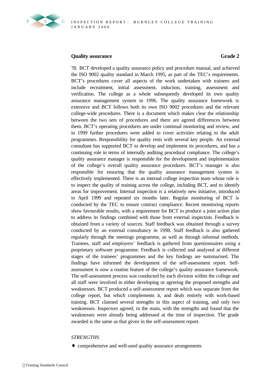

# **Quality assurance Grade 2**

78. BCT developed a quality assurance policy and procedure manual, and achieved the ISO 9002 quality standard in March 1995, as part of the TEC's requirements. BCT's procedures cover all aspects of the work undertaken with trainees and include recruitment, initial assessment, induction, training, assessment and verification. The college as a whole subsequently developed its own quality assurance management system in 1996. The quality assurance framework is extensive and BCT follows both its own ISO 9002 procedures and the relevant college-wide procedures. There is a document which makes clear the relationship between the two sets of procedures and there are agreed differences between them. BCT's operating procedures are under continual monitoring and review, and in 1999 further procedures were added to cover activities relating to the adult programmes. Responsibility for quality rests with several key people. An external consultant has supported BCT to develop and implement its procedures, and has a continuing role in terms of internally auditing procedural compliance. The college's quality assurance manager is responsible for the development and implementation of the college's overall quality assurance procedures. BCT's manager is also responsible for ensuring that the quality assurance management system is effectively implemented. There is an internal college inspection team whose role is to inspect the quality of training across the college, including BCT, and to identify areas for improvement. Internal inspection is a relatively new initiative, introduced in April 1999 and repeated six months later. Regular monitoring of BCT is conducted by the TEC to ensure contract compliance. Recent monitoring reports show favourable results, with a requirement for BCT to produce a joint action plan to address its findings combined with those from external inspection. Feedback is obtained from a variety of sources. Staff feedback was obtained through a survey conducted by an external consultancy in 1998. Staff feedback is also gathered regularly through the meetings programme, as well as through informal methods. Trainees, staff and employers' feedback is gathered from questionnaires using a proprietary software programme. Feedback is collected and analysed at different stages of the trainees' programmes and the key findings are summarised. The findings have informed the development of the self-assessment report. Selfassessment is now a routine feature of the college's quality assurance framework. The self-assessment process was conducted by each division within the college and all staff were involved in either developing or agreeing the proposed strengths and weaknesses. BCT produced a self-assessment report which was separate from the college report, but which complements it, and deals entirely with work-based training. BCT claimed several strengths in this aspect of training, and only two weaknesses. Inspectors agreed, in the main, with the strengths and found that the weaknesses were already being addressed at the time of inspection. The grade awarded is the same as that given in the self-assessment report.

# *STRENGTHS*

♦ comprehensive and well-used quality assurance arrangements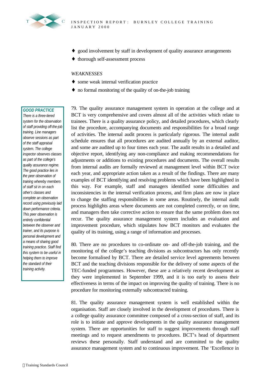

- ♦ good involvement by staff in development of quality assurance arrangements
- ♦ thorough self-assessment process

### *WEAKNESSES*

- ♦ some weak internal verification practice
- ♦ no formal monitoring of the quality of on-the-job training

### *GOOD PRACTICE*

*There is a three-tiered system for the observation of staff providing off-the-job training. Line managers observe sessions as part of the staff appraisal system. The college inspector observes classes as part of the college's quality assurance regime. The good practice lies in the peer observation of training whereby members of staff sit in on each other's classes and complete an observation record using previously laid down performance criteria. This peer observation is entirely confidential between the observer and trainer, and its purpose is personal development and a means of sharing good training practice. Staff find this system to be useful in helping them to improve the standard of their training activity.*

79. The quality assurance management system in operation at the college and at BCT is very comprehensive and covers almost all of the activities which relate to trainees. There is a quality assurance policy, and detailed procedures, which clearly list the procedure, accompanying documents and responsibilities for a broad range of activities. The internal audit process is particularly rigorous. The internal audit schedule ensures that all procedures are audited annually by an external auditor, and some are audited up to four times each year. The audit results in a detailed and objective report, identifying any non-compliance and making recommendations for adjustments or additions to existing procedures and documents. The overall results from internal audits are formally reviewed at management level within BCT twice each year, and appropriate action taken as a result of the findings. There are many examples of BCT identifying and resolving problems which have been highlighted in this way. For example, staff and managers identified some difficulties and inconsistencies in the internal verification process, and firm plans are now in place to change the staffing responsibilities in some areas. Routinely, the internal audit process highlights areas where documents are not completed correctly, or on time, and managers then take corrective action to ensure that the same problem does not recur. The quality assurance management system includes an evaluation and improvement procedure, which stipulates how BCT monitors and evaluates the quality of its training, using a range of information and processes.

80. There are no procedures to co-ordinate on- and off-the-job training, and the monitoring of the college's teaching divisions as subcontractors has only recently become formalised by BCT. There are detailed service level agreements between BCT and the teaching divisions responsible for the delivery of some aspects of the TEC-funded programmes. However, these are a relatively recent development as they were implemented in September 1999, and it is too early to assess their effectiveness in terms of the impact on improving the quality of training. There is no procedure for monitoring externally subcontracted training.

81. The quality assurance management system is well established within the organisation. Staff are closely involved in the development of procedures. There is a college quality assurance committee composed of a cross-section of staff, and its role is to initiate and approve developments in the quality assurance management system. There are opportunities for staff to suggest improvements through staff meetings and to request amendments to procedures. BCT's head of department reviews these personally. Staff understand and are committed to the quality assurance management system and to continuous improvement. The 'Excellence in